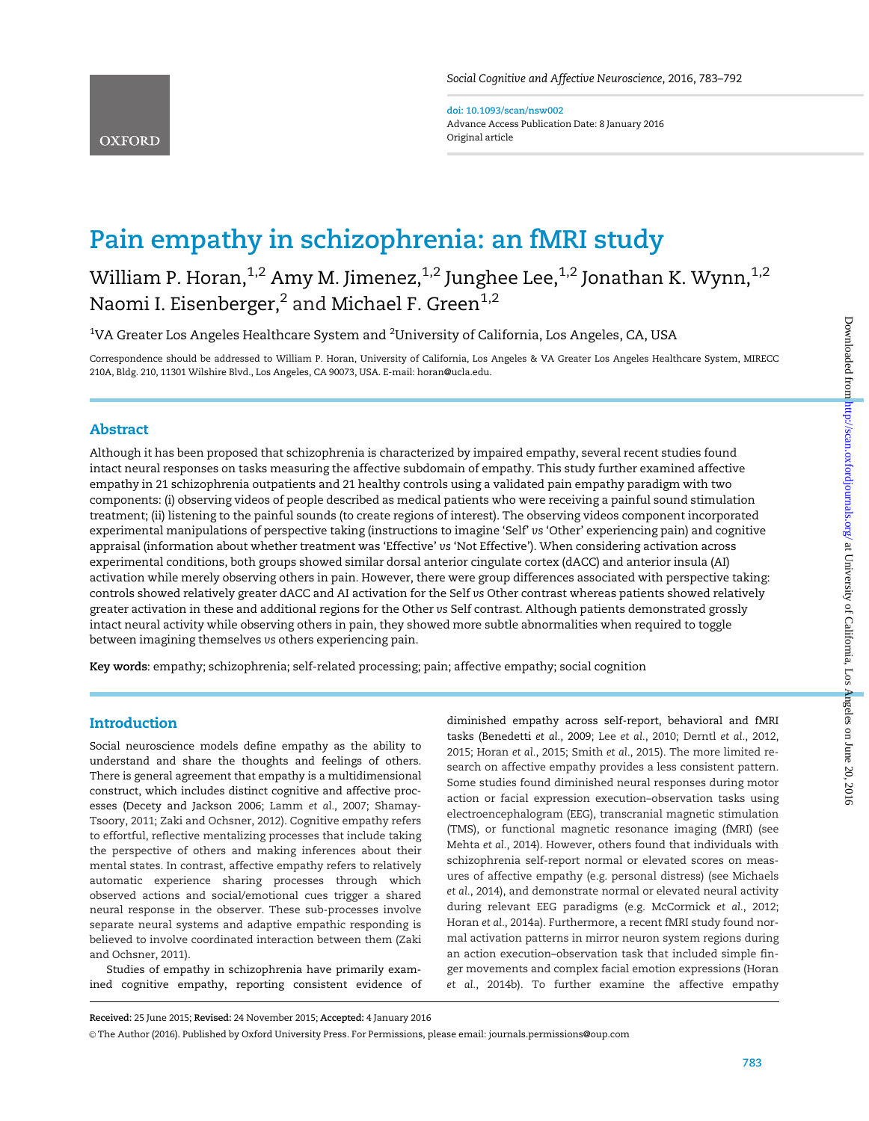doi: 10.1093/scan/nsw002 Advance Access Publication Date: 8 January 2016 Original article

# Pain empathy in schizophrenia: an fMRI study

William P. Horan, $^{1,2}$  Amy M. Jimenez, $^{1,2}$  Junghee Lee, $^{1,2}$  Jonathan K. Wynn, $^{1,2}$ Naomi I. Eisenberger,<sup>2</sup> and Michael F. Green<sup>1,2</sup>

 $^{\rm 1}$ VA Greater Los Angeles Healthcare System and  $^{\rm 2}$ University of California, Los Angeles, CA, USA

Correspondence should be addressed to William P. Horan, University of California, Los Angeles & VA Greater Los Angeles Healthcare System, MIRECC 210A, Bldg. 210, 11301 Wilshire Blvd., Los Angeles, CA 90073, USA. E-mail: horan@ucla.edu.

# Abstract

Although it has been proposed that schizophrenia is characterized by impaired empathy, several recent studies found intact neural responses on tasks measuring the affective subdomain of empathy. This study further examined affective empathy in 21 schizophrenia outpatients and 21 healthy controls using a validated pain empathy paradigm with two components: (i) observing videos of people described as medical patients who were receiving a painful sound stimulation treatment; (ii) listening to the painful sounds (to create regions of interest). The observing videos component incorporated experimental manipulations of perspective taking (instructions to imagine 'Self' vs 'Other' experiencing pain) and cognitive appraisal (information about whether treatment was 'Effective' vs 'Not Effective'). When considering activation across experimental conditions, both groups showed similar dorsal anterior cingulate cortex (dACC) and anterior insula (AI) activation while merely observing others in pain. However, there were group differences associated with perspective taking: controls showed relatively greater dACC and AI activation for the Self vs Other contrast whereas patients showed relatively greater activation in these and additional regions for the Other vs Self contrast. Although patients demonstrated grossly intact neural activity while observing others in pain, they showed more subtle abnormalities when required to toggle between imagining themselves vs others experiencing pain.

Key words: empathy; schizophrenia; self-related processing; pain; affective empathy; social cognition

# Introduction

Social neuroscience models define empathy as the ability to understand and share the thoughts and feelings of others. There is general agreement that empathy is a multidimensional construct, which includes distinct cognitive and affective processes (Decety and Jackson 2006; Lamm et al., 2007; Shamay-Tsoory, 2011; Zaki and Ochsner, 2012). Cognitive empathy refers to effortful, reflective mentalizing processes that include taking the perspective of others and making inferences about their mental states. In contrast, affective empathy refers to relatively automatic experience sharing processes through which observed actions and social/emotional cues trigger a shared neural response in the observer. These sub-processes involve separate neural systems and adaptive empathic responding is believed to involve coordinated interaction between them (Zaki and Ochsner, 2011).

Studies of empathy in schizophrenia have primarily examined cognitive empathy, reporting consistent evidence of

diminished empathy across self-report, behavioral and fMRI tasks (Benedetti et al., 2009; Lee et al., 2010; Derntl et al., 2012, 2015; Horan et al., 2015; Smith et al., 2015). The more limited research on affective empathy provides a less consistent pattern. Some studies found diminished neural responses during motor action or facial expression execution–observation tasks using electroencephalogram (EEG), transcranial magnetic stimulation (TMS), or functional magnetic resonance imaging (fMRI) (see Mehta et al., 2014). However, others found that individuals with schizophrenia self-report normal or elevated scores on measures of affective empathy (e.g. personal distress) (see Michaels et al., 2014), and demonstrate normal or elevated neural activity during relevant EEG paradigms (e.g. McCormick et al., 2012; Horan et al., 2014a). Furthermore, a recent fMRI study found normal activation patterns in mirror neuron system regions during an action execution–observation task that included simple finger movements and complex facial emotion expressions (Horan et al., 2014b). To further examine the affective empathy

Received: 25 June 2015; Revised: 24 November 2015; Accepted: 4 January 2016

V<sup>C</sup> The Author (2016). Published by Oxford University Press. For Permissions, please email: journals.permissions@oup.com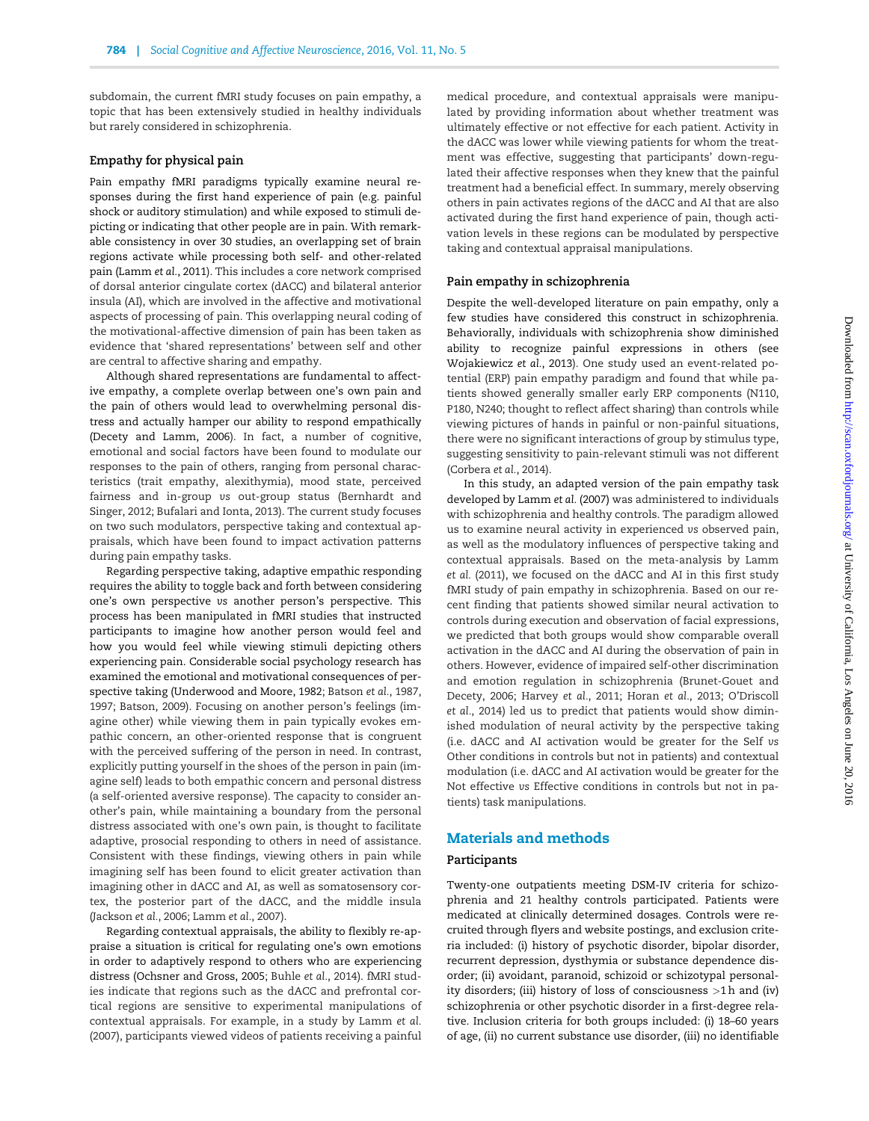subdomain, the current fMRI study focuses on pain empathy, a topic that has been extensively studied in healthy individuals but rarely considered in schizophrenia.

# Empathy for physical pain

Pain empathy fMRI paradigms typically examine neural responses during the first hand experience of pain (e.g. painful shock or auditory stimulation) and while exposed to stimuli depicting or indicating that other people are in pain. With remarkable consistency in over 30 studies, an overlapping set of brain regions activate while processing both self- and other-related pain (Lamm et al., 2011). This includes a core network comprised of dorsal anterior cingulate cortex (dACC) and bilateral anterior insula (AI), which are involved in the affective and motivational aspects of processing of pain. This overlapping neural coding of the motivational-affective dimension of pain has been taken as evidence that 'shared representations' between self and other are central to affective sharing and empathy.

Although shared representations are fundamental to affective empathy, a complete overlap between one's own pain and the pain of others would lead to overwhelming personal distress and actually hamper our ability to respond empathically (Decety and Lamm, 2006). In fact, a number of cognitive, emotional and social factors have been found to modulate our responses to the pain of others, ranging from personal characteristics (trait empathy, alexithymia), mood state, perceived fairness and in-group vs out-group status (Bernhardt and Singer, 2012; Bufalari and Ionta, 2013). The current study focuses on two such modulators, perspective taking and contextual appraisals, which have been found to impact activation patterns during pain empathy tasks.

Regarding perspective taking, adaptive empathic responding requires the ability to toggle back and forth between considering one's own perspective vs another person's perspective. This process has been manipulated in fMRI studies that instructed participants to imagine how another person would feel and how you would feel while viewing stimuli depicting others experiencing pain. Considerable social psychology research has examined the emotional and motivational consequences of perspective taking (Underwood and Moore, 1982; Batson et al., 1987, 1997; Batson, 2009). Focusing on another person's feelings (imagine other) while viewing them in pain typically evokes empathic concern, an other-oriented response that is congruent with the perceived suffering of the person in need. In contrast, explicitly putting yourself in the shoes of the person in pain (imagine self) leads to both empathic concern and personal distress (a self-oriented aversive response). The capacity to consider another's pain, while maintaining a boundary from the personal distress associated with one's own pain, is thought to facilitate adaptive, prosocial responding to others in need of assistance. Consistent with these findings, viewing others in pain while imagining self has been found to elicit greater activation than imagining other in dACC and AI, as well as somatosensory cortex, the posterior part of the dACC, and the middle insula (Jackson et al., 2006; Lamm et al., 2007).

Regarding contextual appraisals, the ability to flexibly re-appraise a situation is critical for regulating one's own emotions in order to adaptively respond to others who are experiencing distress (Ochsner and Gross, 2005; Buhle et al., 2014). fMRI studies indicate that regions such as the dACC and prefrontal cortical regions are sensitive to experimental manipulations of contextual appraisals. For example, in a study by Lamm et al. (2007), participants viewed videos of patients receiving a painful

medical procedure, and contextual appraisals were manipulated by providing information about whether treatment was ultimately effective or not effective for each patient. Activity in the dACC was lower while viewing patients for whom the treatment was effective, suggesting that participants' down-regulated their affective responses when they knew that the painful treatment had a beneficial effect. In summary, merely observing others in pain activates regions of the dACC and AI that are also activated during the first hand experience of pain, though activation levels in these regions can be modulated by perspective taking and contextual appraisal manipulations.

#### Pain empathy in schizophrenia

Despite the well-developed literature on pain empathy, only a few studies have considered this construct in schizophrenia. Behaviorally, individuals with schizophrenia show diminished ability to recognize painful expressions in others (see Wojakiewicz et al., 2013). One study used an event-related potential (ERP) pain empathy paradigm and found that while patients showed generally smaller early ERP components (N110, P180, N240; thought to reflect affect sharing) than controls while viewing pictures of hands in painful or non-painful situations, there were no significant interactions of group by stimulus type, suggesting sensitivity to pain-relevant stimuli was not different (Corbera et al., 2014).

In this study, an adapted version of the pain empathy task developed by Lamm et al. (2007) was administered to individuals with schizophrenia and healthy controls. The paradigm allowed us to examine neural activity in experienced vs observed pain, as well as the modulatory influences of perspective taking and contextual appraisals. Based on the meta-analysis by Lamm et al. (2011), we focused on the dACC and AI in this first study fMRI study of pain empathy in schizophrenia. Based on our recent finding that patients showed similar neural activation to controls during execution and observation of facial expressions, we predicted that both groups would show comparable overall activation in the dACC and AI during the observation of pain in others. However, evidence of impaired self-other discrimination and emotion regulation in schizophrenia (Brunet-Gouet and Decety, 2006; Harvey et al., 2011; Horan et al., 2013; O'Driscoll et al., 2014) led us to predict that patients would show diminished modulation of neural activity by the perspective taking (i.e. dACC and AI activation would be greater for the Self vs Other conditions in controls but not in patients) and contextual modulation (i.e. dACC and AI activation would be greater for the Not effective vs Effective conditions in controls but not in patients) task manipulations.

# Materials and methods

#### Participants

Twenty-one outpatients meeting DSM-IV criteria for schizophrenia and 21 healthy controls participated. Patients were medicated at clinically determined dosages. Controls were recruited through flyers and website postings, and exclusion criteria included: (i) history of psychotic disorder, bipolar disorder, recurrent depression, dysthymia or substance dependence disorder; (ii) avoidant, paranoid, schizoid or schizotypal personality disorders; (iii) history of loss of consciousness >1 h and (iv) schizophrenia or other psychotic disorder in a first-degree relative. Inclusion criteria for both groups included: (i) 18–60 years of age, (ii) no current substance use disorder, (iii) no identifiable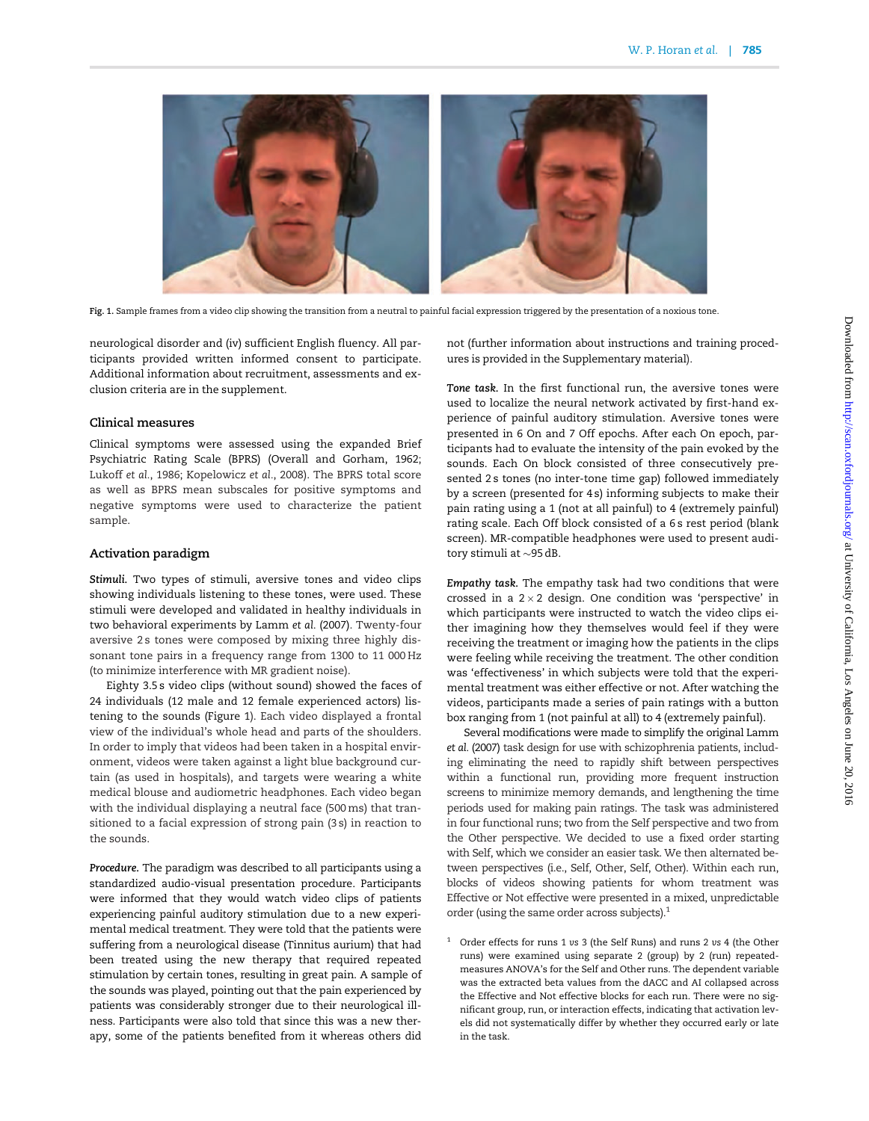

Fig. 1. Sample frames from a video clip showing the transition from a neutral to painful facial expression triggered by the presentation of a noxious tone.

neurological disorder and (iv) sufficient English fluency. All participants provided written informed consent to participate. Additional information about recruitment, assessments and exclusion criteria are in the supplement.

### Clinical measures

Clinical symptoms were assessed using the expanded Brief Psychiatric Rating Scale (BPRS) (Overall and Gorham, 1962; Lukoff et al., 1986; Kopelowicz et al., 2008). The BPRS total score as well as BPRS mean subscales for positive symptoms and negative symptoms were used to characterize the patient sample.

#### Activation paradigm

Stimuli. Two types of stimuli, aversive tones and video clips showing individuals listening to these tones, were used. These stimuli were developed and validated in healthy individuals in two behavioral experiments by Lamm et al. (2007). Twenty-four aversive 2s tones were composed by mixing three highly dissonant tone pairs in a frequency range from 1300 to 11 000 Hz (to minimize interference with MR gradient noise).

Eighty 3.5 s video clips (without sound) showed the faces of 24 individuals (12 male and 12 female experienced actors) listening to the sounds (Figure 1). Each video displayed a frontal view of the individual's whole head and parts of the shoulders. In order to imply that videos had been taken in a hospital environment, videos were taken against a light blue background curtain (as used in hospitals), and targets were wearing a white medical blouse and audiometric headphones. Each video began with the individual displaying a neutral face (500 ms) that transitioned to a facial expression of strong pain (3 s) in reaction to the sounds.

Procedure. The paradigm was described to all participants using a standardized audio-visual presentation procedure. Participants were informed that they would watch video clips of patients experiencing painful auditory stimulation due to a new experimental medical treatment. They were told that the patients were suffering from a neurological disease (Tinnitus aurium) that had been treated using the new therapy that required repeated stimulation by certain tones, resulting in great pain. A sample of the sounds was played, pointing out that the pain experienced by patients was considerably stronger due to their neurological illness. Participants were also told that since this was a new therapy, some of the patients benefited from it whereas others did not (further information about instructions and training procedures is provided in the Supplementary material).

Tone task. In the first functional run, the aversive tones were used to localize the neural network activated by first-hand experience of painful auditory stimulation. Aversive tones were presented in 6 On and 7 Off epochs. After each On epoch, participants had to evaluate the intensity of the pain evoked by the sounds. Each On block consisted of three consecutively presented 2 s tones (no inter-tone time gap) followed immediately by a screen (presented for 4 s) informing subjects to make their pain rating using a 1 (not at all painful) to 4 (extremely painful) rating scale. Each Off block consisted of a 6 s rest period (blank screen). MR-compatible headphones were used to present auditory stimuli at  $\sim$ 95 dB.

Empathy task. The empathy task had two conditions that were crossed in a  $2 \times 2$  design. One condition was 'perspective' in which participants were instructed to watch the video clips either imagining how they themselves would feel if they were receiving the treatment or imaging how the patients in the clips were feeling while receiving the treatment. The other condition was 'effectiveness' in which subjects were told that the experimental treatment was either effective or not. After watching the videos, participants made a series of pain ratings with a button box ranging from 1 (not painful at all) to 4 (extremely painful).

Several modifications were made to simplify the original Lamm et al. (2007) task design for use with schizophrenia patients, including eliminating the need to rapidly shift between perspectives within a functional run, providing more frequent instruction screens to minimize memory demands, and lengthening the time periods used for making pain ratings. The task was administered in four functional runs; two from the Self perspective and two from the Other perspective. We decided to use a fixed order starting with Self, which we consider an easier task. We then alternated between perspectives (i.e., Self, Other, Self, Other). Within each run, blocks of videos showing patients for whom treatment was Effective or Not effective were presented in a mixed, unpredictable order (using the same order across subjects).<sup>1</sup>

<sup>1</sup> Order effects for runs 1 vs 3 (the Self Runs) and runs 2 vs 4 (the Other runs) were examined using separate 2 (group) by 2 (run) repeatedmeasures ANOVA's for the Self and Other runs. The dependent variable was the extracted beta values from the dACC and AI collapsed across the Effective and Not effective blocks for each run. There were no significant group, run, or interaction effects, indicating that activation levels did not systematically differ by whether they occurred early or late in the task.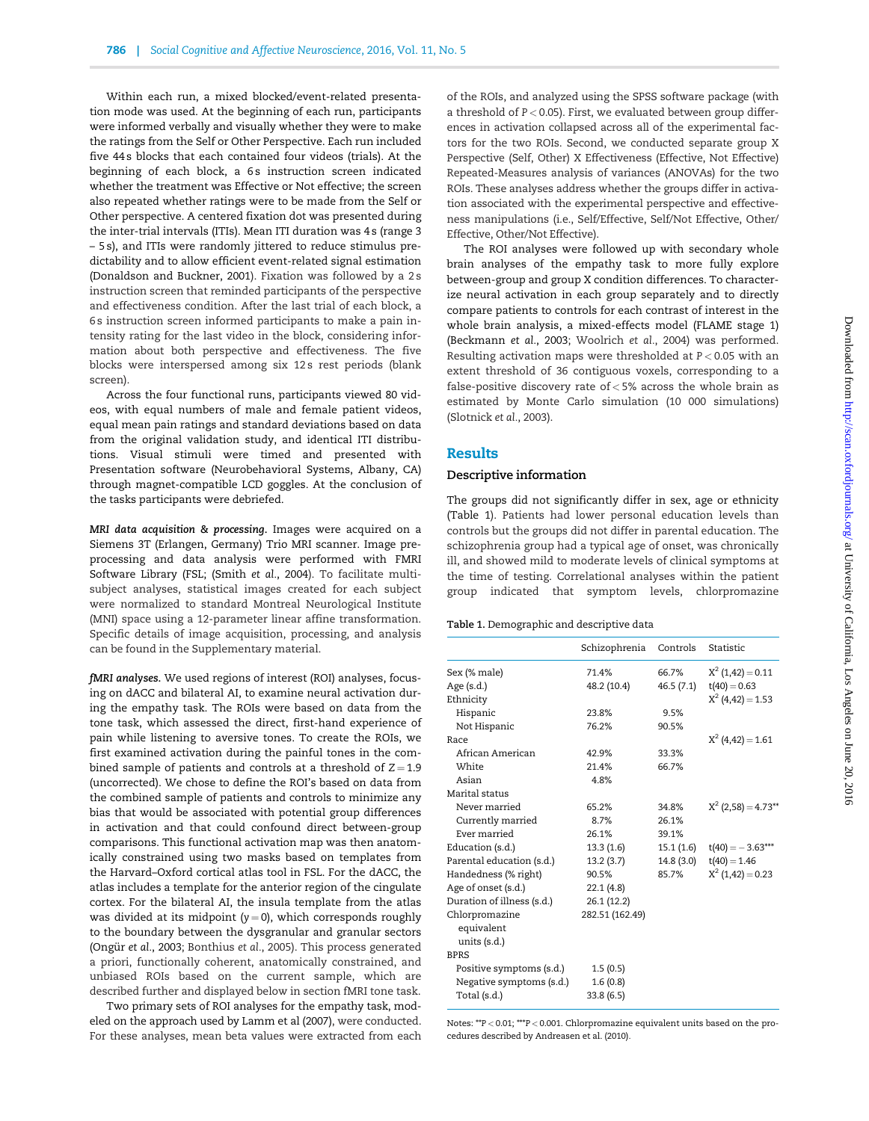Within each run, a mixed blocked/event-related presentation mode was used. At the beginning of each run, participants were informed verbally and visually whether they were to make the ratings from the Self or Other Perspective. Each run included five 44 s blocks that each contained four videos (trials). At the beginning of each block, a 6s instruction screen indicated whether the treatment was Effective or Not effective; the screen also repeated whether ratings were to be made from the Self or Other perspective. A centered fixation dot was presented during the inter-trial intervals (ITIs). Mean ITI duration was 4 s (range 3 – 5 s), and ITIs were randomly jittered to reduce stimulus predictability and to allow efficient event-related signal estimation (Donaldson and Buckner, 2001). Fixation was followed by a 2 s instruction screen that reminded participants of the perspective and effectiveness condition. After the last trial of each block, a 6 s instruction screen informed participants to make a pain intensity rating for the last video in the block, considering information about both perspective and effectiveness. The five blocks were interspersed among six 12 s rest periods (blank screen).

Across the four functional runs, participants viewed 80 videos, with equal numbers of male and female patient videos, equal mean pain ratings and standard deviations based on data from the original validation study, and identical ITI distributions. Visual stimuli were timed and presented with Presentation software (Neurobehavioral Systems, Albany, CA) through magnet-compatible LCD goggles. At the conclusion of the tasks participants were debriefed.

MRI data acquisition & processing. Images were acquired on a Siemens 3T (Erlangen, Germany) Trio MRI scanner. Image preprocessing and data analysis were performed with FMRI Software Library (FSL; (Smith et al., 2004). To facilitate multisubject analyses, statistical images created for each subject were normalized to standard Montreal Neurological Institute (MNI) space using a 12-parameter linear affine transformation. Specific details of image acquisition, processing, and analysis can be found in the Supplementary material.

fMRI analyses. We used regions of interest (ROI) analyses, focusing on dACC and bilateral AI, to examine neural activation during the empathy task. The ROIs were based on data from the tone task, which assessed the direct, first-hand experience of pain while listening to aversive tones. To create the ROIs, we first examined activation during the painful tones in the combined sample of patients and controls at a threshold of  $Z = 1.9$ (uncorrected). We chose to define the ROI's based on data from the combined sample of patients and controls to minimize any bias that would be associated with potential group differences in activation and that could confound direct between-group comparisons. This functional activation map was then anatomically constrained using two masks based on templates from the Harvard–Oxford cortical atlas tool in FSL. For the dACC, the atlas includes a template for the anterior region of the cingulate cortex. For the bilateral AI, the insula template from the atlas was divided at its midpoint  $(y = 0)$ , which corresponds roughly to the boundary between the dysgranular and granular sectors (Ongür et al., 2003; Bonthius et al., 2005). This process generated a priori, functionally coherent, anatomically constrained, and unbiased ROIs based on the current sample, which are described further and displayed below in section fMRI tone task.

Two primary sets of ROI analyses for the empathy task, modeled on the approach used by Lamm et al (2007), were conducted. For these analyses, mean beta values were extracted from each of the ROIs, and analyzed using the SPSS software package (with a threshold of  $P < 0.05$ ). First, we evaluated between group differences in activation collapsed across all of the experimental factors for the two ROIs. Second, we conducted separate group X Perspective (Self, Other) X Effectiveness (Effective, Not Effective) Repeated-Measures analysis of variances (ANOVAs) for the two ROIs. These analyses address whether the groups differ in activation associated with the experimental perspective and effectiveness manipulations (i.e., Self/Effective, Self/Not Effective, Other/ Effective, Other/Not Effective).

The ROI analyses were followed up with secondary whole brain analyses of the empathy task to more fully explore between-group and group X condition differences. To characterize neural activation in each group separately and to directly compare patients to controls for each contrast of interest in the whole brain analysis, a mixed-effects model (FLAME stage 1) (Beckmann et al., 2003; Woolrich et al., 2004) was performed. Resulting activation maps were thresholded at  $P < 0.05$  with an extent threshold of 36 contiguous voxels, corresponding to a false-positive discovery rate of < 5% across the whole brain as estimated by Monte Carlo simulation (10 000 simulations) (Slotnick et al., 2003).

## Results

#### Descriptive information

The groups did not significantly differ in sex, age or ethnicity (Table 1). Patients had lower personal education levels than controls but the groups did not differ in parental education. The schizophrenia group had a typical age of onset, was chronically ill, and showed mild to moderate levels of clinical symptoms at the time of testing. Correlational analyses within the patient group indicated that symptom levels, chlorpromazine

|                            | Schizophrenia   | Controls   | Statistic                         |
|----------------------------|-----------------|------------|-----------------------------------|
| Sex (% male)               | 71.4%           | 66.7%      | $X^2(1,42)=0.11$                  |
| Age (s.d.)                 | 48.2 (10.4)     | 46.5 (7.1) | $t(40) = 0.63$                    |
| Ethnicity                  |                 |            | $X^2$ (4,42) = 1.53               |
| Hispanic                   | 23.8%           | 9.5%       |                                   |
| Not Hispanic               | 76.2%           | 90.5%      |                                   |
| Race                       |                 |            | $X^2(4, 42) = 1.61$               |
| African American           | 42.9%           | 33.3%      |                                   |
| White                      | 21.4%           | 66.7%      |                                   |
| Asian                      | 4.8%            |            |                                   |
| Marital status             |                 |            |                                   |
| Never married              | 65.2%           | 34.8%      | $X^2$ (2,58) = 4.73 <sup>**</sup> |
| Currently married          | 8.7%            | 26.1%      |                                   |
| Ever married               | 26.1%           | 39.1%      |                                   |
| Education (s.d.)           | 13.3 (1.6)      | 15.1 (1.6) | $t(40) = -3.63***$                |
| Parental education (s.d.)  | 13.2(3.7)       | 14.8 (3.0) | $t(40) = 1.46$                    |
| Handedness (% right)       | 90.5%           | 85.7%      | $X^2(1,42)=0.23$                  |
| Age of onset (s.d.)        | 22.1(4.8)       |            |                                   |
| Duration of illness (s.d.) | 26.1 (12.2)     |            |                                   |
| Chlorpromazine             | 282.51 (162.49) |            |                                   |
| equivalent                 |                 |            |                                   |
| units (s.d.)               |                 |            |                                   |
| <b>BPRS</b>                |                 |            |                                   |
| Positive symptoms (s.d.)   | 1.5(0.5)        |            |                                   |
| Negative symptoms (s.d.)   | 1.6(0.8)        |            |                                   |
| Total (s.d.)               | 33.8 (6.5)      |            |                                   |

Notes: \*\*P < 0.01; \*\*\*P < 0.001. Chlorpromazine equivalent units based on the procedures described by Andreasen et al. (2010).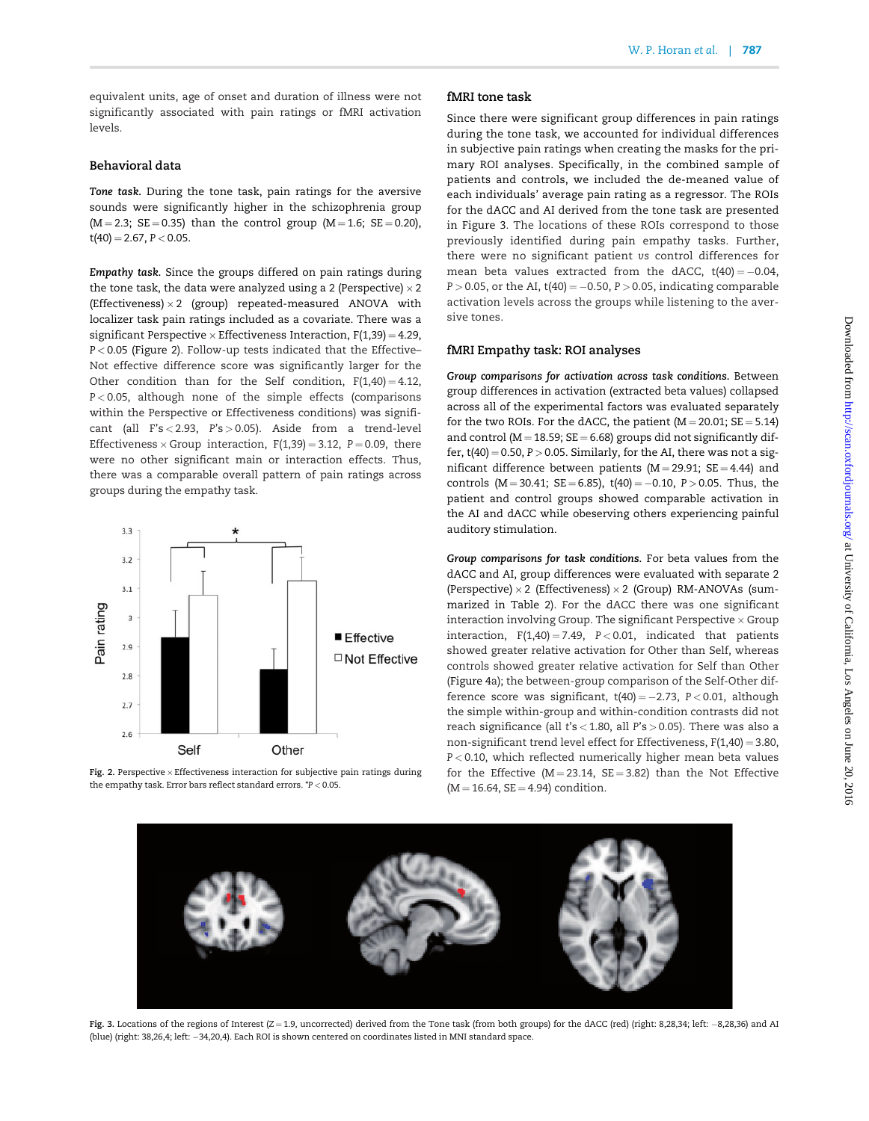equivalent units, age of onset and duration of illness were not significantly associated with pain ratings or fMRI activation levels.

## Behavioral data

Tone task. During the tone task, pain ratings for the aversive sounds were significantly higher in the schizophrenia group  $(M = 2.3; SE = 0.35)$  than the control group  $(M = 1.6; SE = 0.20)$ ,  $t(40) = 2.67, P < 0.05.$ 

Empathy task. Since the groups differed on pain ratings during the tone task, the data were analyzed using a 2 (Perspective)  $\times$  2 (Effectiveness)  $\times$  2 (group) repeated-measured ANOVA with localizer task pain ratings included as a covariate. There was a significant Perspective  $\times$  Effectiveness Interaction, F(1,39) = 4.29,  $P < 0.05$  (Figure 2). Follow-up tests indicated that the Effective– Not effective difference score was significantly larger for the Other condition than for the Self condition,  $F(1,40) = 4.12$ , P < 0.05, although none of the simple effects (comparisons within the Perspective or Effectiveness conditions) was significant (all F's < 2.93, P's > 0.05). Aside from a trend-level Effectiveness  $\times$  Group interaction, F(1,39) = 3.12, P = 0.09, there were no other significant main or interaction effects. Thus, there was a comparable overall pattern of pain ratings across groups during the empathy task.



Fig. 2. Perspective  $\times$  Effectiveness interaction for subjective pain ratings during the empathy task. Error bars reflect standard errors. \*P < 0.05.

## fMRI tone task

Since there were significant group differences in pain ratings during the tone task, we accounted for individual differences in subjective pain ratings when creating the masks for the primary ROI analyses. Specifically, in the combined sample of patients and controls, we included the de-meaned value of each individuals' average pain rating as a regressor. The ROIs for the dACC and AI derived from the tone task are presented in Figure 3. The locations of these ROIs correspond to those previously identified during pain empathy tasks. Further, there were no significant patient vs control differences for mean beta values extracted from the dACC,  $t(40) = -0.04$ ,  $P > 0.05$ , or the AI, t(40) = -0.50, P  $> 0.05$ , indicating comparable activation levels across the groups while listening to the aversive tones.

## fMRI Empathy task: ROI analyses

Group comparisons for activation across task conditions. Between group differences in activation (extracted beta values) collapsed across all of the experimental factors was evaluated separately for the two ROIs. For the dACC, the patient  $(M = 20.01; SE = 5.14)$ and control ( $M = 18.59$ ;  $SE = 6.68$ ) groups did not significantly differ,  $t(40) = 0.50$ ,  $P > 0.05$ . Similarly, for the AI, there was not a significant difference between patients ( $M = 29.91$ ;  $SE = 4.44$ ) and controls ( $M = 30.41$ ;  $SE = 6.85$ ),  $t(40) = -0.10$ ,  $P > 0.05$ . Thus, the patient and control groups showed comparable activation in the AI and dACC while obeserving others experiencing painful auditory stimulation.

Group comparisons for task conditions. For beta values from the dACC and AI, group differences were evaluated with separate 2 (Perspective)  $\times$  2 (Effectiveness)  $\times$  2 (Group) RM-ANOVAs (summarized in Table 2). For the dACC there was one significant interaction involving Group. The significant Perspective  $\times$  Group interaction,  $F(1,40) = 7.49$ ,  $P < 0.01$ , indicated that patients showed greater relative activation for Other than Self, whereas controls showed greater relative activation for Self than Other (Figure 4a); the between-group comparison of the Self-Other difference score was significant,  $t(40) = -2.73$ ,  $P < 0.01$ , although the simple within-group and within-condition contrasts did not reach significance (all t's < 1.80, all P's > 0.05). There was also a non-significant trend level effect for Effectiveness,  $F(1,40) = 3.80$ , P < 0.10, which reflected numerically higher mean beta values for the Effective ( $M = 23.14$ ,  $SE = 3.82$ ) than the Not Effective  $(M = 16.64, SE = 4.94)$  condition.



Fig. 3. Locations of the regions of Interest  $(Z=1.9$ , uncorrected) derived from the Tone task (from both groups) for the dACC (red) (right: 8,28,34; left: -8,28,36) and AI (blue) (right: 38,26,4; left: 34,20,4). Each ROI is shown centered on coordinates listed in MNI standard space.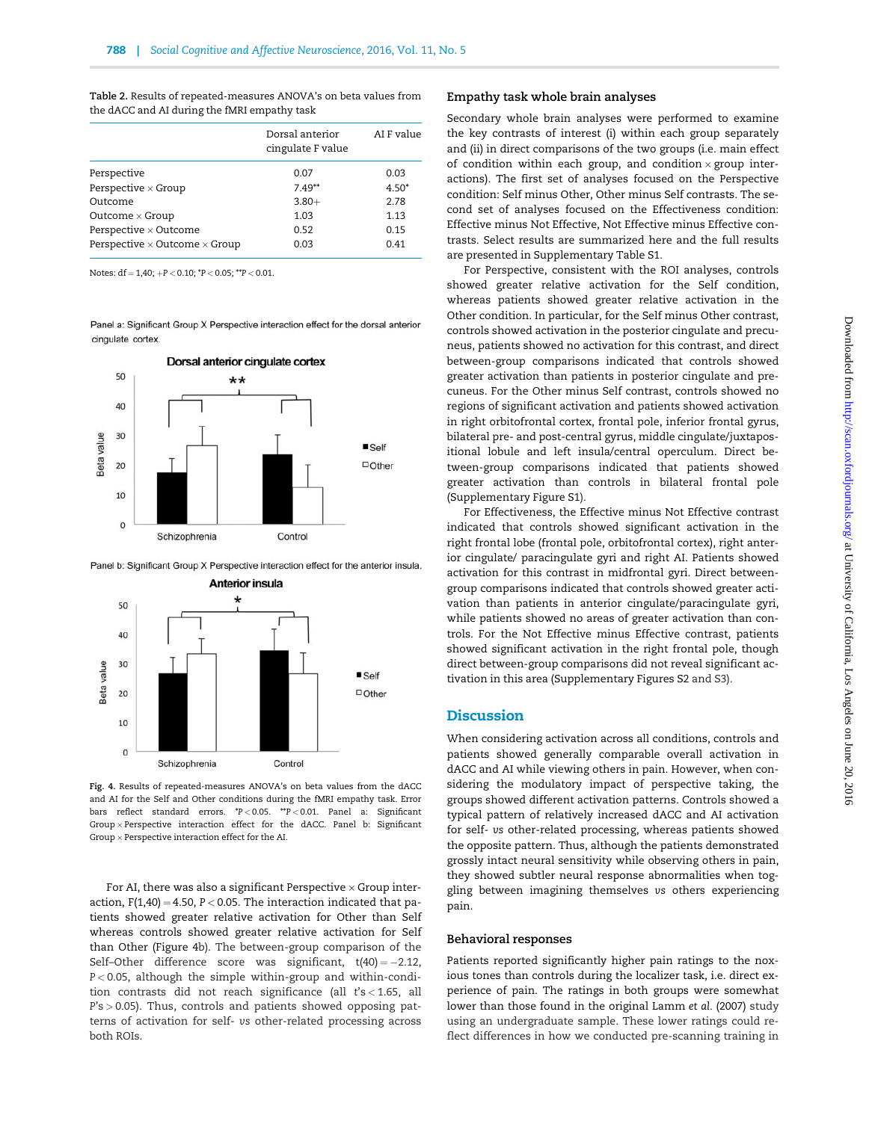Dorsal anterior cingulate F value AI F value Perspective 0.07 0.03 Perspective  $\times$  Group 7.49\*\* 4.50\* Outcome  $3.80 +$  2.78  $Outcome \times Group$  1.03 1.13 Perspective  $\times$  Outcome 0.52 0.15 Perspective  $\times$  Outcome  $\times$  Group 0.03 0.41

Table 2. Results of repeated-measures ANOVA's on beta values from

Notes:  $df = 1,40; +P < 0.10; *P < 0.05; **P < 0.01$ .

the dACC and AI during the fMRI empathy task

Panel a: Significant Group X Perspective interaction effect for the dorsal anterior cinqulate cortex.



Panel b: Significant Group X Perspective interaction effect for the anterior insula.



Fig. 4. Results of repeated-measures ANOVA's on beta values from the dACC and AI for the Self and Other conditions during the fMRI empathy task. Error bars reflect standard errors. \*P < 0.05. \*\*P < 0.01. Panel a: Significant  $Group \times Perspective$  interaction effect for the dACC. Panel b: Significant Group  $\times$  Perspective interaction effect for the AI.

For AI, there was also a significant Perspective  $\times$  Group interaction,  $F(1,40) = 4.50$ ,  $P < 0.05$ . The interaction indicated that patients showed greater relative activation for Other than Self whereas controls showed greater relative activation for Self than Other (Figure 4b). The between-group comparison of the Self-Other difference score was significant,  $t(40) = -2.12$ , P < 0.05, although the simple within-group and within-condition contrasts did not reach significance (all t's < 1.65, all P's > 0.05). Thus, controls and patients showed opposing patterns of activation for self- vs other-related processing across both ROIs.

#### Empathy task whole brain analyses

Secondary whole brain analyses were performed to examine the key contrasts of interest (i) within each group separately and (ii) in direct comparisons of the two groups (i.e. main effect of condition within each group, and condition  $\times$  group interactions). The first set of analyses focused on the Perspective condition: Self minus Other, Other minus Self contrasts. The second set of analyses focused on the Effectiveness condition: Effective minus Not Effective, Not Effective minus Effective contrasts. Select results are summarized here and the full results are presented in Supplementary Table S1.

For Perspective, consistent with the ROI analyses, controls showed greater relative activation for the Self condition, whereas patients showed greater relative activation in the Other condition. In particular, for the Self minus Other contrast, controls showed activation in the posterior cingulate and precuneus, patients showed no activation for this contrast, and direct between-group comparisons indicated that controls showed greater activation than patients in posterior cingulate and precuneus. For the Other minus Self contrast, controls showed no regions of significant activation and patients showed activation in right orbitofrontal cortex, frontal pole, inferior frontal gyrus, bilateral pre- and post-central gyrus, middle cingulate/juxtapositional lobule and left insula/central operculum. Direct between-group comparisons indicated that patients showed greater activation than controls in bilateral frontal pole (Supplementary Figure S1).

For Effectiveness, the Effective minus Not Effective contrast indicated that controls showed significant activation in the right frontal lobe (frontal pole, orbitofrontal cortex), right anterior cingulate/ paracingulate gyri and right AI. Patients showed activation for this contrast in midfrontal gyri. Direct betweengroup comparisons indicated that controls showed greater activation than patients in anterior cingulate/paracingulate gyri, while patients showed no areas of greater activation than controls. For the Not Effective minus Effective contrast, patients showed significant activation in the right frontal pole, though direct between-group comparisons did not reveal significant activation in this area (Supplementary Figures S2 and S3).

# **Discussion**

When considering activation across all conditions, controls and patients showed generally comparable overall activation in dACC and AI while viewing others in pain. However, when considering the modulatory impact of perspective taking, the groups showed different activation patterns. Controls showed a typical pattern of relatively increased dACC and AI activation for self- vs other-related processing, whereas patients showed the opposite pattern. Thus, although the patients demonstrated grossly intact neural sensitivity while observing others in pain, they showed subtler neural response abnormalities when toggling between imagining themselves vs others experiencing pain.

#### Behavioral responses

Patients reported significantly higher pain ratings to the noxious tones than controls during the localizer task, i.e. direct experience of pain. The ratings in both groups were somewhat lower than those found in the original Lamm et al. (2007) study using an undergraduate sample. These lower ratings could reflect differences in how we conducted pre-scanning training in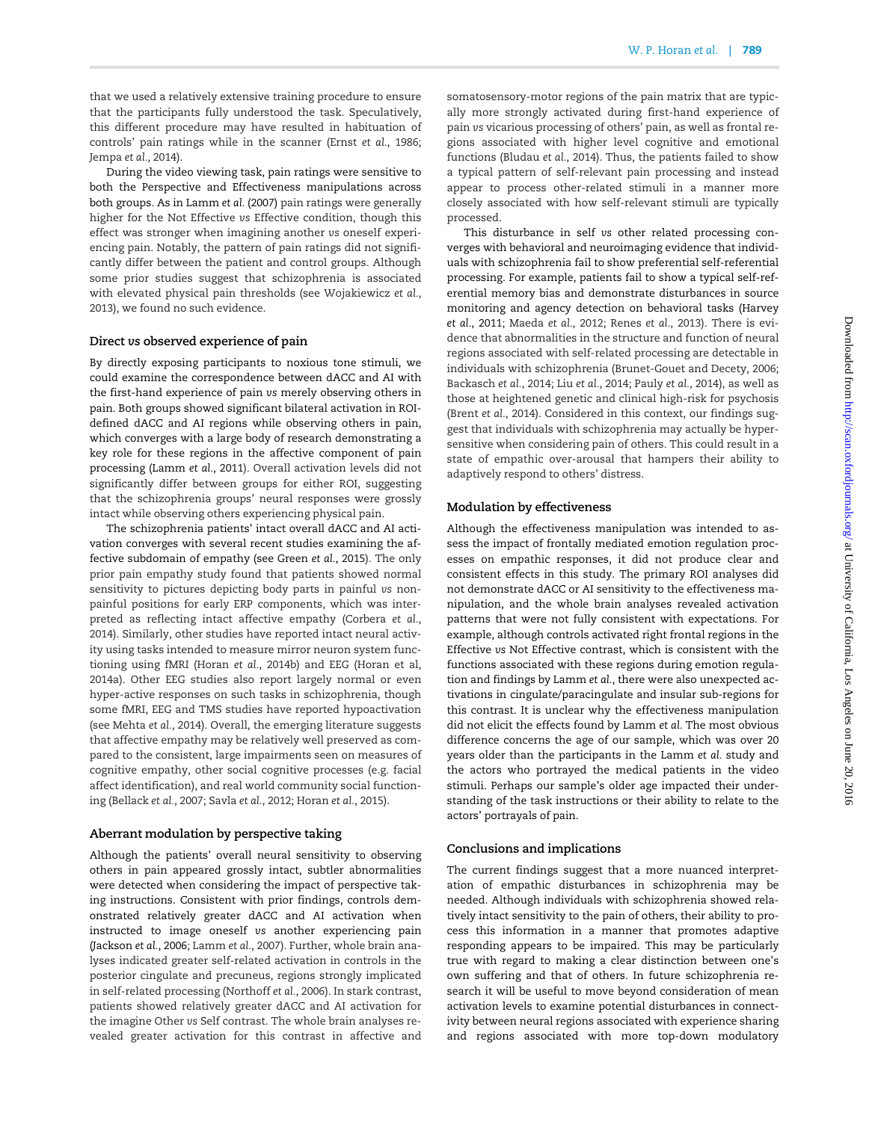that we used a relatively extensive training procedure to ensure that the participants fully understood the task. Speculatively, this different procedure may have resulted in habituation of controls' pain ratings while in the scanner (Ernst et al., 1986; Jempa et al., 2014).

During the video viewing task, pain ratings were sensitive to both the Perspective and Effectiveness manipulations across both groups. As in Lamm et al. (2007) pain ratings were generally higher for the Not Effective vs Effective condition, though this effect was stronger when imagining another vs oneself experiencing pain. Notably, the pattern of pain ratings did not significantly differ between the patient and control groups. Although some prior studies suggest that schizophrenia is associated with elevated physical pain thresholds (see Wojakiewicz et al., 2013), we found no such evidence.

#### Direct vs observed experience of pain

By directly exposing participants to noxious tone stimuli, we could examine the correspondence between dACC and AI with the first-hand experience of pain vs merely observing others in pain. Both groups showed significant bilateral activation in ROIdefined dACC and AI regions while observing others in pain, which converges with a large body of research demonstrating a key role for these regions in the affective component of pain processing (Lamm et al., 2011). Overall activation levels did not significantly differ between groups for either ROI, suggesting that the schizophrenia groups' neural responses were grossly intact while observing others experiencing physical pain.

The schizophrenia patients' intact overall dACC and AI activation converges with several recent studies examining the affective subdomain of empathy (see Green et al., 2015). The only prior pain empathy study found that patients showed normal sensitivity to pictures depicting body parts in painful vs nonpainful positions for early ERP components, which was interpreted as reflecting intact affective empathy (Corbera et al., 2014). Similarly, other studies have reported intact neural activity using tasks intended to measure mirror neuron system functioning using fMRI (Horan et al., 2014b) and EEG (Horan et al, 2014a). Other EEG studies also report largely normal or even hyper-active responses on such tasks in schizophrenia, though some fMRI, EEG and TMS studies have reported hypoactivation (see Mehta et al., 2014). Overall, the emerging literature suggests that affective empathy may be relatively well preserved as compared to the consistent, large impairments seen on measures of cognitive empathy, other social cognitive processes (e.g. facial affect identification), and real world community social functioning (Bellack et al., 2007; Savla et al., 2012; Horan et al., 2015).

## Aberrant modulation by perspective taking

Although the patients' overall neural sensitivity to observing others in pain appeared grossly intact, subtler abnormalities were detected when considering the impact of perspective taking instructions. Consistent with prior findings, controls demonstrated relatively greater dACC and AI activation when instructed to image oneself vs another experiencing pain (Jackson et al., 2006; Lamm et al., 2007). Further, whole brain analyses indicated greater self-related activation in controls in the posterior cingulate and precuneus, regions strongly implicated in self-related processing (Northoff et al., 2006). In stark contrast, patients showed relatively greater dACC and AI activation for the imagine Other vs Self contrast. The whole brain analyses revealed greater activation for this contrast in affective and

somatosensory-motor regions of the pain matrix that are typically more strongly activated during first-hand experience of pain vs vicarious processing of others' pain, as well as frontal regions associated with higher level cognitive and emotional functions (Bludau et al., 2014). Thus, the patients failed to show a typical pattern of self-relevant pain processing and instead appear to process other-related stimuli in a manner more closely associated with how self-relevant stimuli are typically processed.

This disturbance in self vs other related processing converges with behavioral and neuroimaging evidence that individuals with schizophrenia fail to show preferential self-referential processing. For example, patients fail to show a typical self-referential memory bias and demonstrate disturbances in source monitoring and agency detection on behavioral tasks (Harvey et al., 2011; Maeda et al., 2012; Renes et al., 2013). There is evidence that abnormalities in the structure and function of neural regions associated with self-related processing are detectable in individuals with schizophrenia (Brunet-Gouet and Decety, 2006; Backasch et al., 2014; Liu et al., 2014; Pauly et al., 2014), as well as those at heightened genetic and clinical high-risk for psychosis (Brent et al., 2014). Considered in this context, our findings suggest that individuals with schizophrenia may actually be hypersensitive when considering pain of others. This could result in a state of empathic over-arousal that hampers their ability to adaptively respond to others' distress.

## Modulation by effectiveness

Although the effectiveness manipulation was intended to assess the impact of frontally mediated emotion regulation processes on empathic responses, it did not produce clear and consistent effects in this study. The primary ROI analyses did not demonstrate dACC or AI sensitivity to the effectiveness manipulation, and the whole brain analyses revealed activation patterns that were not fully consistent with expectations. For example, although controls activated right frontal regions in the Effective vs Not Effective contrast, which is consistent with the functions associated with these regions during emotion regulation and findings by Lamm et al., there were also unexpected activations in cingulate/paracingulate and insular sub-regions for this contrast. It is unclear why the effectiveness manipulation did not elicit the effects found by Lamm et al. The most obvious difference concerns the age of our sample, which was over 20 years older than the participants in the Lamm et al. study and the actors who portrayed the medical patients in the video stimuli. Perhaps our sample's older age impacted their understanding of the task instructions or their ability to relate to the actors' portrayals of pain.

## Conclusions and implications

The current findings suggest that a more nuanced interpretation of empathic disturbances in schizophrenia may be needed. Although individuals with schizophrenia showed relatively intact sensitivity to the pain of others, their ability to process this information in a manner that promotes adaptive responding appears to be impaired. This may be particularly true with regard to making a clear distinction between one's own suffering and that of others. In future schizophrenia research it will be useful to move beyond consideration of mean activation levels to examine potential disturbances in connectivity between neural regions associated with experience sharing and regions associated with more top-down modulatory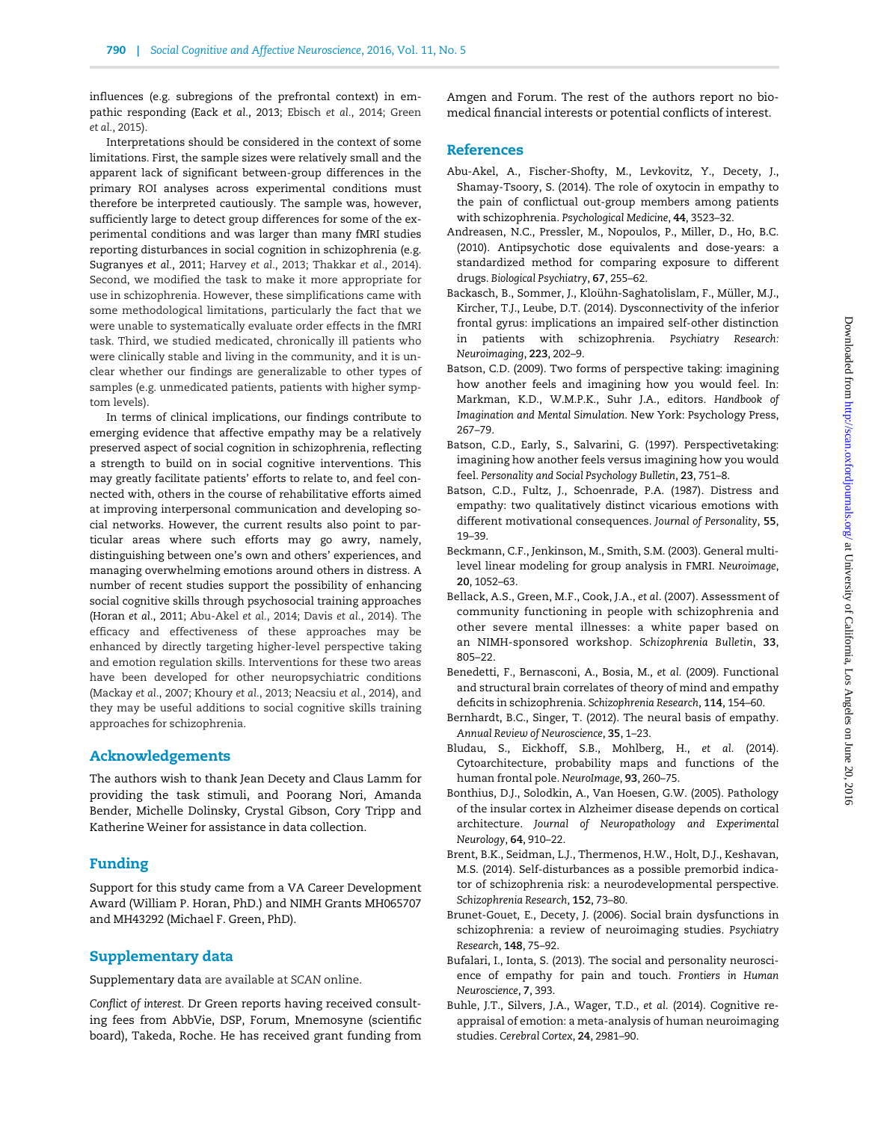influences (e.g. subregions of the prefrontal context) in empathic responding (Eack et al., 2013; Ebisch et al., 2014; Green et al., 2015).

Interpretations should be considered in the context of some limitations. First, the sample sizes were relatively small and the apparent lack of significant between-group differences in the primary ROI analyses across experimental conditions must therefore be interpreted cautiously. The sample was, however, sufficiently large to detect group differences for some of the experimental conditions and was larger than many fMRI studies reporting disturbances in social cognition in schizophrenia (e.g. Sugranyes et al., 2011; Harvey et al., 2013; Thakkar et al., 2014). Second, we modified the task to make it more appropriate for use in schizophrenia. However, these simplifications came with some methodological limitations, particularly the fact that we were unable to systematically evaluate order effects in the fMRI task. Third, we studied medicated, chronically ill patients who were clinically stable and living in the community, and it is unclear whether our findings are generalizable to other types of samples (e.g. unmedicated patients, patients with higher symptom levels).

In terms of clinical implications, our findings contribute to emerging evidence that affective empathy may be a relatively preserved aspect of social cognition in schizophrenia, reflecting a strength to build on in social cognitive interventions. This may greatly facilitate patients' efforts to relate to, and feel connected with, others in the course of rehabilitative efforts aimed at improving interpersonal communication and developing social networks. However, the current results also point to particular areas where such efforts may go awry, namely, distinguishing between one's own and others' experiences, and managing overwhelming emotions around others in distress. A number of recent studies support the possibility of enhancing social cognitive skills through psychosocial training approaches (Horan et al., 2011; Abu-Akel et al., 2014; Davis et al., 2014). The efficacy and effectiveness of these approaches may be enhanced by directly targeting higher-level perspective taking and emotion regulation skills. Interventions for these two areas have been developed for other neuropsychiatric conditions (Mackay et al., 2007; Khoury et al., 2013; Neacsiu et al., 2014), and they may be useful additions to social cognitive skills training approaches for schizophrenia.

# Acknowledgements

The authors wish to thank Jean Decety and Claus Lamm for providing the task stimuli, and Poorang Nori, Amanda Bender, Michelle Dolinsky, Crystal Gibson, Cory Tripp and Katherine Weiner for assistance in data collection.

# Funding

Support for this study came from a VA Career Development Award (William P. Horan, PhD.) and NIMH Grants MH065707 and MH43292 (Michael F. Green, PhD).

# Supplementary data

Supplementary data are available at SCAN online.

Conflict of interest. Dr Green reports having received consulting fees from AbbVie, DSP, Forum, Mnemosyne (scientific board), Takeda, Roche. He has received grant funding from Amgen and Forum. The rest of the authors report no biomedical financial interests or potential conflicts of interest.

## References

- Abu-Akel, A., Fischer-Shofty, M., Levkovitz, Y., Decety, J., Shamay-Tsoory, S. (2014). The role of oxytocin in empathy to the pain of conflictual out-group members among patients with schizophrenia. Psychological Medicine, 44, 3523–32.
- Andreasen, N.C., Pressler, M., Nopoulos, P., Miller, D., Ho, B.C. (2010). Antipsychotic dose equivalents and dose-years: a standardized method for comparing exposure to different drugs. Biological Psychiatry, 67, 255–62.
- Backasch, B., Sommer, J., Kloühn-Saghatolislam, F., Müller, M.J., Kircher, T.J., Leube, D.T. (2014). Dysconnectivity of the inferior frontal gyrus: implications an impaired self-other distinction in patients with schizophrenia. Psychiatry Research: Neuroimaging, 223, 202–9.
- Batson, C.D. (2009). Two forms of perspective taking: imagining how another feels and imagining how you would feel. In: Markman, K.D., W.M.P.K., Suhr J.A., editors. Handbook of Imagination and Mental Simulation. New York: Psychology Press, 267–79.
- Batson, C.D., Early, S., Salvarini, G. (1997). Perspectivetaking: imagining how another feels versus imagining how you would feel. Personality and Social Psychology Bulletin, 23, 751–8.
- Batson, C.D., Fultz, J., Schoenrade, P.A. (1987). Distress and empathy: two qualitatively distinct vicarious emotions with different motivational consequences. Journal of Personality, 55, 19–39.
- Beckmann, C.F., Jenkinson, M., Smith, S.M. (2003). General multilevel linear modeling for group analysis in FMRI. Neuroimage, 20, 1052–63.
- Bellack, A.S., Green, M.F., Cook, J.A., et al. (2007). Assessment of community functioning in people with schizophrenia and other severe mental illnesses: a white paper based on an NIMH-sponsored workshop. Schizophrenia Bulletin, 33, 805–22.
- Benedetti, F., Bernasconi, A., Bosia, M., et al. (2009). Functional and structural brain correlates of theory of mind and empathy deficits in schizophrenia. Schizophrenia Research, 114, 154–60.
- Bernhardt, B.C., Singer, T. (2012). The neural basis of empathy. Annual Review of Neuroscience, 35, 1–23.
- Bludau, S., Eickhoff, S.B., Mohlberg, H., et al. (2014). Cytoarchitecture, probability maps and functions of the human frontal pole. NeuroImage, 93, 260–75.
- Bonthius, D.J., Solodkin, A., Van Hoesen, G.W. (2005). Pathology of the insular cortex in Alzheimer disease depends on cortical architecture. Journal of Neuropathology and Experimental Neurology, 64, 910–22.
- Brent, B.K., Seidman, L.J., Thermenos, H.W., Holt, D.J., Keshavan, M.S. (2014). Self-disturbances as a possible premorbid indicator of schizophrenia risk: a neurodevelopmental perspective. Schizophrenia Research, 152, 73–80.
- Brunet-Gouet, E., Decety, J. (2006). Social brain dysfunctions in schizophrenia: a review of neuroimaging studies. Psychiatry Research, 148, 75–92.
- Bufalari, I., Ionta, S. (2013). The social and personality neuroscience of empathy for pain and touch. Frontiers in Human Neuroscience, 7, 393.
- Buhle, J.T., Silvers, J.A., Wager, T.D., et al. (2014). Cognitive reappraisal of emotion: a meta-analysis of human neuroimaging studies. Cerebral Cortex, 24, 2981–90.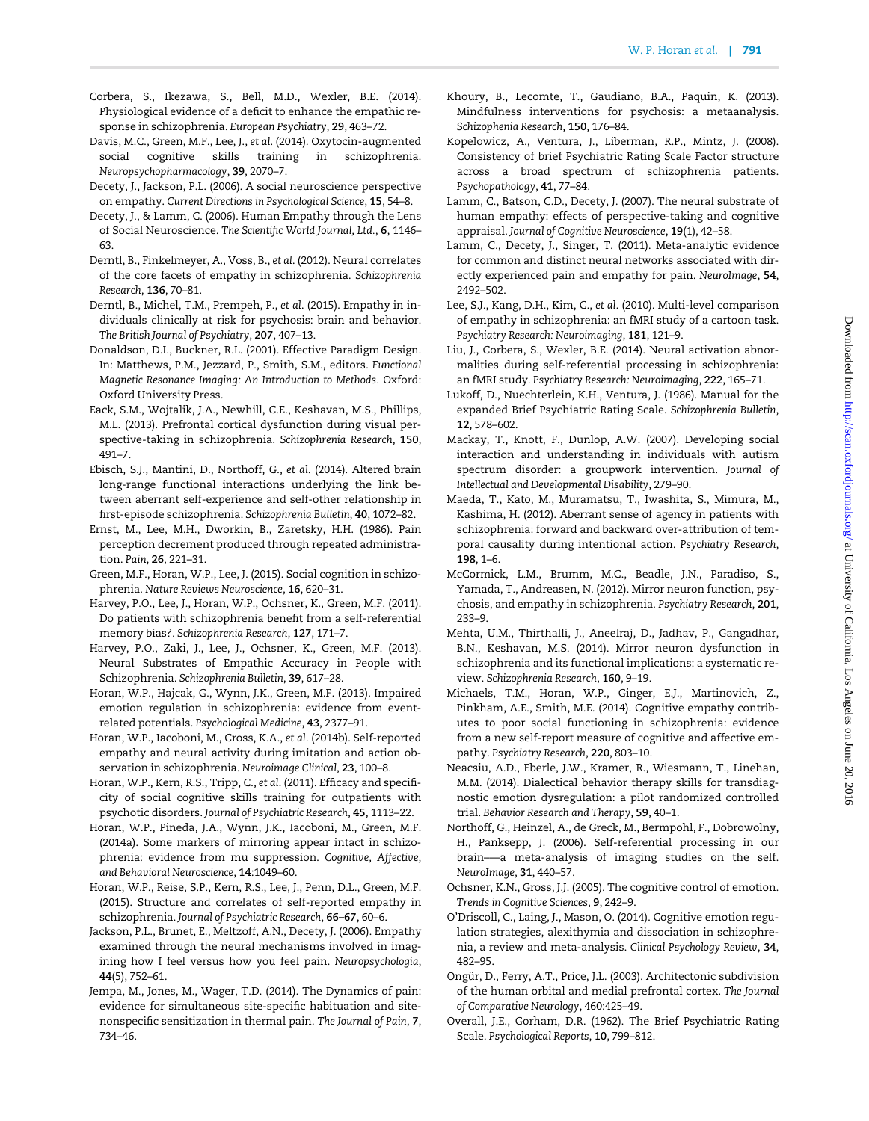- Corbera, S., Ikezawa, S., Bell, M.D., Wexler, B.E. (2014). Physiological evidence of a deficit to enhance the empathic response in schizophrenia. European Psychiatry, 29, 463–72.
- Davis, M.C., Green, M.F., Lee, J., et al. (2014). Oxytocin-augmented social cognitive skills training in schizophrenia. Neuropsychopharmacology, 39, 2070–7.
- Decety, J., Jackson, P.L. (2006). A social neuroscience perspective on empathy. Current Directions in Psychological Science, 15, 54–8.
- Decety, J., & Lamm, C. (2006). Human Empathy through the Lens of Social Neuroscience. The Scientific World Journal, Ltd., 6, 1146– 63.
- Derntl, B., Finkelmeyer, A., Voss, B., et al. (2012). Neural correlates of the core facets of empathy in schizophrenia. Schizophrenia Research, 136, 70–81.
- Derntl, B., Michel, T.M., Prempeh, P., et al. (2015). Empathy in individuals clinically at risk for psychosis: brain and behavior. The British Journal of Psychiatry, 207, 407–13.
- Donaldson, D.I., Buckner, R.L. (2001). Effective Paradigm Design. In: Matthews, P.M., Jezzard, P., Smith, S.M., editors. Functional Magnetic Resonance Imaging: An Introduction to Methods. Oxford: Oxford University Press.
- Eack, S.M., Wojtalik, J.A., Newhill, C.E., Keshavan, M.S., Phillips, M.L. (2013). Prefrontal cortical dysfunction during visual perspective-taking in schizophrenia. Schizophrenia Research, 150, 491–7.
- Ebisch, S.J., Mantini, D., Northoff, G., et al. (2014). Altered brain long-range functional interactions underlying the link between aberrant self-experience and self-other relationship in first-episode schizophrenia. Schizophrenia Bulletin, 40, 1072–82.
- Ernst, M., Lee, M.H., Dworkin, B., Zaretsky, H.H. (1986). Pain perception decrement produced through repeated administration. Pain, 26, 221–31.
- Green, M.F., Horan, W.P., Lee, J. (2015). Social cognition in schizophrenia. Nature Reviews Neuroscience, 16, 620–31.
- Harvey, P.O., Lee, J., Horan, W.P., Ochsner, K., Green, M.F. (2011). Do patients with schizophrenia benefit from a self-referential memory bias?. Schizophrenia Research, 127, 171–7.
- Harvey, P.O., Zaki, J., Lee, J., Ochsner, K., Green, M.F. (2013). Neural Substrates of Empathic Accuracy in People with Schizophrenia. Schizophrenia Bulletin, 39, 617–28.
- Horan, W.P., Hajcak, G., Wynn, J.K., Green, M.F. (2013). Impaired emotion regulation in schizophrenia: evidence from eventrelated potentials. Psychological Medicine, 43, 2377–91.
- Horan, W.P., Iacoboni, M., Cross, K.A., et al. (2014b). Self-reported empathy and neural activity during imitation and action observation in schizophrenia. Neuroimage Clinical, 23, 100–8.
- Horan, W.P., Kern, R.S., Tripp, C., et al. (2011). Efficacy and specificity of social cognitive skills training for outpatients with psychotic disorders. Journal of Psychiatric Research, 45, 1113–22.
- Horan, W.P., Pineda, J.A., Wynn, J.K., Iacoboni, M., Green, M.F. (2014a). Some markers of mirroring appear intact in schizophrenia: evidence from mu suppression. Cognitive, Affective, and Behavioral Neuroscience, 14:1049–60.
- Horan, W.P., Reise, S.P., Kern, R.S., Lee, J., Penn, D.L., Green, M.F. (2015). Structure and correlates of self-reported empathy in schizophrenia. Journal of Psychiatric Research, 66–67, 60–6.
- Jackson, P.L., Brunet, E., Meltzoff, A.N., Decety, J. (2006). Empathy examined through the neural mechanisms involved in imagining how I feel versus how you feel pain. Neuropsychologia, 44(5), 752–61.
- Jempa, M., Jones, M., Wager, T.D. (2014). The Dynamics of pain: evidence for simultaneous site-specific habituation and sitenonspecific sensitization in thermal pain. The Journal of Pain, 7, 734–46.
- Khoury, B., Lecomte, T., Gaudiano, B.A., Paquin, K. (2013). Mindfulness interventions for psychosis: a metaanalysis. Schizophenia Research, 150, 176–84.
- Kopelowicz, A., Ventura, J., Liberman, R.P., Mintz, J. (2008). Consistency of brief Psychiatric Rating Scale Factor structure across a broad spectrum of schizophrenia patients. Psychopathology, 41, 77–84.
- Lamm, C., Batson, C.D., Decety, J. (2007). The neural substrate of human empathy: effects of perspective-taking and cognitive appraisal. Journal of Cognitive Neuroscience, 19(1), 42–58.
- Lamm, C., Decety, J., Singer, T. (2011). Meta-analytic evidence for common and distinct neural networks associated with directly experienced pain and empathy for pain. NeuroImage, 54, 2492–502.
- Lee, S.J., Kang, D.H., Kim, C., et al. (2010). Multi-level comparison of empathy in schizophrenia: an fMRI study of a cartoon task. Psychiatry Research: Neuroimaging, 181, 121–9.
- Liu, J., Corbera, S., Wexler, B.E. (2014). Neural activation abnormalities during self-referential processing in schizophrenia: an fMRI study. Psychiatry Research: Neuroimaging, 222, 165–71.
- Lukoff, D., Nuechterlein, K.H., Ventura, J. (1986). Manual for the expanded Brief Psychiatric Rating Scale. Schizophrenia Bulletin, 12, 578–602.
- Mackay, T., Knott, F., Dunlop, A.W. (2007). Developing social interaction and understanding in individuals with autism spectrum disorder: a groupwork intervention. Journal of Intellectual and Developmental Disability, 279–90.
- Maeda, T., Kato, M., Muramatsu, T., Iwashita, S., Mimura, M., Kashima, H. (2012). Aberrant sense of agency in patients with schizophrenia: forward and backward over-attribution of temporal causality during intentional action. Psychiatry Research, 198, 1–6.
- McCormick, L.M., Brumm, M.C., Beadle, J.N., Paradiso, S., Yamada, T., Andreasen, N. (2012). Mirror neuron function, psychosis, and empathy in schizophrenia. Psychiatry Research, 201, 233–9.
- Mehta, U.M., Thirthalli, J., Aneelraj, D., Jadhav, P., Gangadhar, B.N., Keshavan, M.S. (2014). Mirror neuron dysfunction in schizophrenia and its functional implications: a systematic review. Schizophrenia Research, 160, 9–19.
- Michaels, T.M., Horan, W.P., Ginger, E.J., Martinovich, Z., Pinkham, A.E., Smith, M.E. (2014). Cognitive empathy contributes to poor social functioning in schizophrenia: evidence from a new self-report measure of cognitive and affective empathy. Psychiatry Research, 220, 803–10.
- Neacsiu, A.D., Eberle, J.W., Kramer, R., Wiesmann, T., Linehan, M.M. (2014). Dialectical behavior therapy skills for transdiagnostic emotion dysregulation: a pilot randomized controlled trial. Behavior Research and Therapy, 59, 40–1.
- Northoff, G., Heinzel, A., de Greck, M., Bermpohl, F., Dobrowolny, H., Panksepp, J. (2006). Self-referential processing in our brain–—a meta-analysis of imaging studies on the self. NeuroImage, 31, 440–57.
- Ochsner, K.N., Gross, J.J. (2005). The cognitive control of emotion. Trends in Cognitive Sciences, 9, 242–9.
- O'Driscoll, C., Laing, J., Mason, O. (2014). Cognitive emotion regulation strategies, alexithymia and dissociation in schizophrenia, a review and meta-analysis. Clinical Psychology Review, 34, 482–95.
- Ongür, D., Ferry, A.T., Price, J.L. (2003). Architectonic subdivision of the human orbital and medial prefrontal cortex. The Journal of Comparative Neurology, 460:425–49.
- Overall, J.E., Gorham, D.R. (1962). The Brief Psychiatric Rating Scale. Psychological Reports, 10, 799–812.